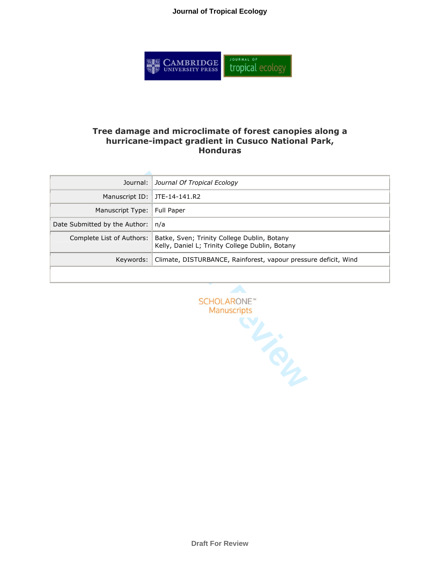## **Journal of Tropical Ecology**



# **Tree damage and microclimate of forest canopies along a hurricane-impact gradient in Cusuco National Park, Honduras**

| Journal:                      | Journal Of Tropical Ecology                                                                    |  |  |  |  |
|-------------------------------|------------------------------------------------------------------------------------------------|--|--|--|--|
|                               | Manuscript ID: JTE-14-141.R2                                                                   |  |  |  |  |
| Manuscript Type:              | Full Paper                                                                                     |  |  |  |  |
| Date Submitted by the Author: | n/a                                                                                            |  |  |  |  |
| Complete List of Authors:     | Batke, Sven; Trinity College Dublin, Botany<br>Kelly, Daniel L; Trinity College Dublin, Botany |  |  |  |  |
| Kevwords:                     | Climate, DISTURBANCE, Rainforest, vapour pressure deficit, Wind                                |  |  |  |  |
|                               |                                                                                                |  |  |  |  |



**Draft For Review**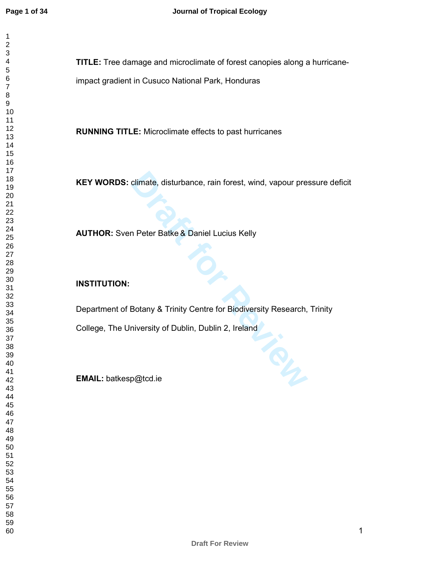$\mathbf{1}$  $\overline{2}$  $\overline{\mathbf{4}}$  $\overline{7}$ 

**TITLE:** Tree damage and microclimate of forest canopies along a hurricaneimpact gradient in Cusuco National Park, Honduras

**RUNNING TITLE:** Microclimate effects to past hurricanes

**KEY WORDS:** climate, disturbance, rain forest, wind, vapour pressure deficit

**AUTHOR:** Sven Peter Batke & Daniel Lucius Kelly

## **INSTITUTION:**

climate, disturbance, rain forest, wind, vapour pre<br>
1 Peter Batke & Daniel Lucius Kelly<br>
Botany & Trinity Centre for Biodiversity Research,<br>
niversity of Dublin, Dublin 2, Ireland<br> **P@tcd.ie** Department of Botany & Trinity Centre for Biodiversity Research, Trinity

College, The University of Dublin, Dublin 2, Ireland

**EMAIL:** batkesp@tcd.ie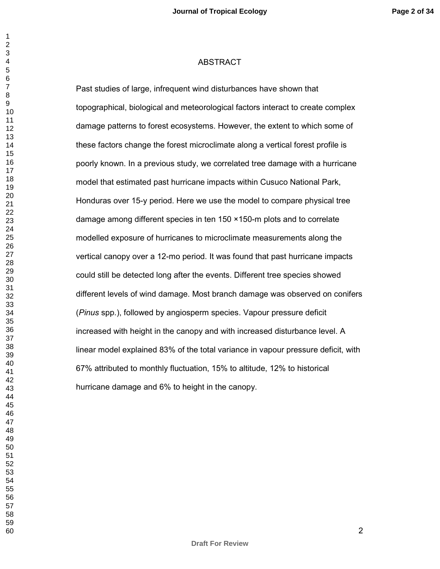#### ABSTRACT

mated past hurricane impacts within Cusuco Natio<br>15-y period. Here we use the model to compare p<br>different species in ten 150 ×150-m plots and to<br>sure of hurricanes to microclimate measurements<br>over a 12-mo period. It was Past studies of large, infrequent wind disturbances have shown that topographical, biological and meteorological factors interact to create complex damage patterns to forest ecosystems. However, the extent to which some of these factors change the forest microclimate along a vertical forest profile is poorly known. In a previous study, we correlated tree damage with a hurricane model that estimated past hurricane impacts within Cusuco National Park, Honduras over 15-y period. Here we use the model to compare physical tree damage among different species in ten 150 ×150-m plots and to correlate modelled exposure of hurricanes to microclimate measurements along the vertical canopy over a 12-mo period. It was found that past hurricane impacts could still be detected long after the events. Different tree species showed different levels of wind damage. Most branch damage was observed on conifers (*Pinus* spp.), followed by angiosperm species. Vapour pressure deficit increased with height in the canopy and with increased disturbance level. A linear model explained 83% of the total variance in vapour pressure deficit, with 67% attributed to monthly fluctuation, 15% to altitude, 12% to historical hurricane damage and 6% to height in the canopy.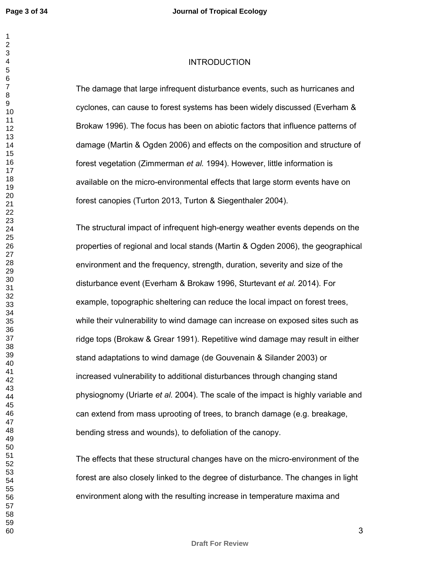$\mathbf{1}$ 

# INTRODUCTION

The damage that large infrequent disturbance events, such as hurricanes and cyclones, can cause to forest systems has been widely discussed (Everham & Brokaw 1996). The focus has been on abiotic factors that influence patterns of damage (Martin & Ogden 2006) and effects on the composition and structure of forest vegetation (Zimmerman *et al.* 1994). However, little information is available on the micro-environmental effects that large storm events have on forest canopies (Turton 2013, Turton & Siegenthaler 2004).

Proposition and leffects that large storm eve<br>
(Turton 2013, Turton & Siegenthaler 2004).<br>
mpact of infrequent high-energy weather events d<br>
gional and local stands (Martin & Ogden 2006), th<br>
d the frequency, strength, dur The structural impact of infrequent high-energy weather events depends on the properties of regional and local stands (Martin & Ogden 2006), the geographical environment and the frequency, strength, duration, severity and size of the disturbance event (Everham & Brokaw 1996, Sturtevan t *et al.* 2014). For example, topographic sheltering can reduce the local impact on forest trees, while their vulnerability to wind damage can increase on exposed sites such as ridge tops (Brokaw & Grear 1991). Repetitive wind damage may result in either stand adaptations to wind damage (de Gouvenain & Silander 2003) or increased vulnerability to additional disturbances through changing stand physiognomy (Uriarte *et al.* 2004). The scale of the impact is highly variable and can extend from mass uprooting of trees, to branch damage (e.g. breakage, bending stress and wounds), to defoliation of the canopy.

The effects that these structural changes have on the micro-environment of the forest are also closely linked to the degree of disturbance. The changes in light environment along with the resulting increase in temperature maxima and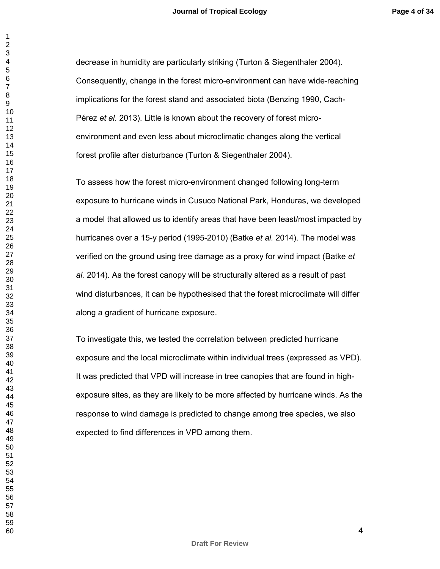decrease in humidity are particularly striking (Turton & Siegenthaler 2004). Consequently, change in the forest micro-environment can have wide-reaching implications for the forest stand and associated biota (Benzing 1990, Cach-Pérez *et al.* 2013). Little is known about the recovery of forest microenvironment and even less about microclimatic changes along the vertical forest profile after disturbance (Turton & Siegenthaler 2004).

the forest micro-environment changed following k<br>
ricane winds in Cusuco National Park, Honduras,<br>
owed us to identify areas that have been least/mc<br>
ca 15-y period (1995-2010) (Batke et al. 2014). Th<br>
ground using tree da To assess how the forest micro-environment changed following long-term exposure to hurricane winds in Cusuco National Park, Honduras, we developed a model that allowed us to identify areas that have been least/most impacted by hurricanes over a 15-y period (1995-2010) (Batke *et al.* 2014). The model was verified on the ground using tree damage as a proxy for wind impact (Batke *et al.* 2014). As the forest canopy will be structurally altered as a result of past wind disturbances, it can be hypothesised that the forest microclimate will differ along a gradient of hurricane exposure.

To investigate this, we tested the correlation between predicted hurricane exposure and the local microclimate within individual trees (expressed as VPD). It was predicted that VPD will increase in tree canopies that are found in highexposure sites, as they are likely to be more affected by hurricane winds. As the response to wind damage is predicted to change among tree species, we also expected to find differences in VPD among them.

 $\mathbf{1}$  $\overline{2}$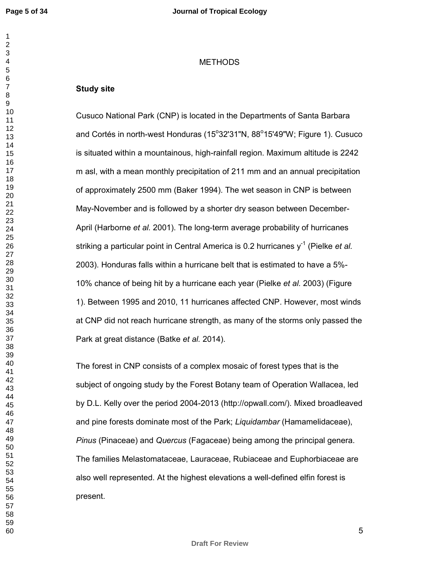## **METHODS**

## **Study site**

bean montnly precipitation of 211 mm and an annu<br>y 2500 mm (Baker 1994). The wet season in CNF<br>and is followed by a shorter dry season between<br>et al. 2001). The long-term average probability of<br>ular point in Central Americ Cusuco National Park (CNP) is located in the Departments of Santa Barbara and Cortés in north-west Honduras (15°32'31"N, 88°15'49"W; Figure 1). Cusuco is situated within a mountainous, high-rainfall region. Maximum altitude is 2242 m asl, with a mean monthly precipitation of 211 mm and an annual precipitation of approximately 2500 mm (Baker 1994). The wet season in CNP is between May-November and is followed by a shorter dry season between December-April (Harborne *et al.* 2001). The long-term average probability of hurricanes striking a particular point in Central America is 0.2 hurricanes y-1 (Pielke *et al.* 2003). Honduras falls within a hurricane belt that is estimated to have a 5%- 10% chance of being hit by a hurricane each year (Pielke *et al.* 2003) (Figure 1). Between 1995 and 2010, 11 hurricanes affected CNP. However, most winds at CNP did not reach hurricane strength, as many of the storms only passed the Park at great distance (Batke *et al.* 2014).

The forest in CNP consists of a complex mosaic of forest types that is the subject of ongoing study by the Forest Botany team of Operation Wallacea, led by D.L. Kelly over the period 2004-2013 (http://opwall.com/). Mixed broadleaved and pine forests dominate most of the Park; *Liquidambar* (Hamamelidaceae), *Pinus* (Pinaceae) and *Quercus* (Fagaceae) being among the principal genera. The families Melastomataceae, Lauraceae, Rubiaceae and Euphorbiaceae are also well represented. At the highest elevations a well-defined elfin forest is present.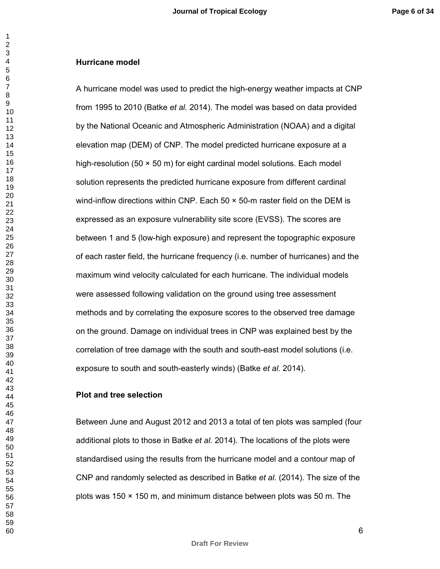#### **Hurricane model**

ents the predicted hurricane exposure from differe<br>
ctions within CNP. Each 50 × 50-m raster field on<br>
n exposure vulnerability site score (EVSS). The se<br>
5 (low-high exposure) and represent the topograp<br>
ield, the hurrica A hurricane model was used to predict the high-energy weather impacts at CNP from 1995 to 2010 (Batke *et al.* 2014). The model was based on data provided by the National Oceanic and Atmospheric Administration (NOAA) and a digital elevation map (DEM) of CNP. The model predicted hurricane exposure at a high-resolution (50 × 50 m) for eight cardinal model solutions. Each model solution represents the predicted hurricane exposure from different cardinal wind-inflow directions within CNP. Each  $50 \times 50$ -m raster field on the DEM is expressed as an exposure vulnerability site score (EVSS). The scores are between 1 and 5 (low-high exposure) and represent the topographic exposure of each raster field, the hurricane frequency (i.e. number of hurricanes) and the maximum wind velocity calculated for each hurricane. The individual models were assessed following validation on the ground using tree assessment methods and by correlating the exposure scores to the observed tree damage on the ground. Damage on individual trees in CNP was explained best by the correlation of tree damage with the south and south-east model solutions (i.e. exposure to south and south-easterly winds) (Batke *et al.* 2014).

## **Plot and tree selection**

Between June and August 2012 and 2013 a total of ten plots was sampled (four additional plots to those in Batke *et al.* 2014). The locations of the plots were standardised using the results from the hurricane model and a contour map of CNP and randomly selected as described in Batke *et al.* (2014). The size of the plots was 150 × 150 m, and minimum distance between plots was 50 m. The

 $\mathbf{1}$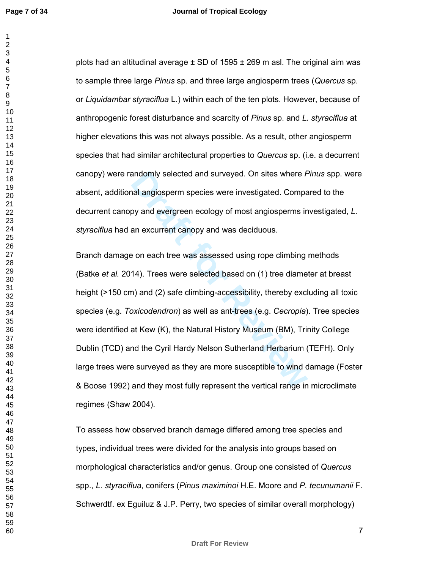plots had an altitudinal average  $\pm$  SD of 1595  $\pm$  269 m asl. The original aim was to sample three large *Pinus* sp. and three large angiosperm trees (*Quercus* sp. or *Liquidambar styraciflua* L.) within each of the ten plots. However, because of anthropogenic forest disturbance and scarcity of *Pinus* sp. and *L. styraciflua* at higher elevations this was not always possible. As a result, other angiosperm species that had similar architectural properties to *Quercus* sp. (i.e. a decurrent canopy) were randomly selected and surveyed. On sites where *Pinus* spp. were absent, additional angiosperm species were investigated. Compared to the decurrent canopy and evergreen ecology of most angiosperms investigated, *L. styraciflua* had an excurrent canopy and was deciduous.

andomly selected and surveyed. On sites where *F*<br>al angiosperm species were investigated. Compa<br>by and evergreen ecology of most angiosperms in<br>an excurrent canopy and was deciduous.<br>9 on each tree was assessed using rope Branch damage on each tree was assessed using rope climbing methods (Batke *et al.* 2014). Trees were selected based on (1) tree diameter at breast height (>150 cm) and (2) safe climbing-accessibility, thereby excluding all toxic species (e.g. *Toxicodendron*) as well as ant-trees (e.g. *Cecropia*). Tree species were identified at Kew (K), the Natural History Museum (BM), Trinity College Dublin (TCD) and the Cyril Hardy Nelson Sutherland Herbarium (TEFH). Only large trees were surveyed as they are more susceptible to wind damage (Foster & Boose 1992) and they most fully represent the vertical range in microclimate regimes (Shaw 2004).

To assess how observed branch damage differed among tree species and types, individual trees were divided for the analysis into groups based on morphological characteristics and/or genus. Group one consisted of *Quercus* spp., *L. styraciflua*, conifers (*Pinus maximinoi* H.E. Moore and *P. tecunumanii* F. Schwerdtf. ex Eguiluz & J.P. Perry, two species of similar overall morphology)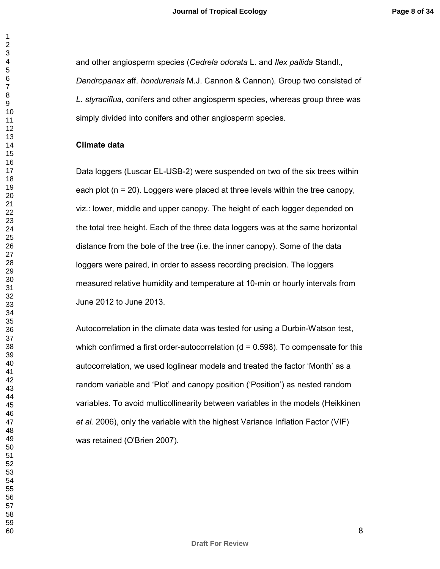and other angiosperm species (*Cedrela odorata* L. and *Ilex pallida* Standl., *Dendropanax* aff. *hondurensis* M.J. Cannon & Cannon). Group two consisted of *L. styraciflua*, conifers and other angiosperm species, whereas group three was simply divided into conifers and other angiosperm species.

### **Climate data**

uscar EL-USB-2) were suspended on two or the state of the state of the state of the and upper canopy. The height of each logger of eight. Each of the three data loggers was at the sale bole of the tree (i.e. the inner cano Data loggers (Luscar EL-USB-2) were suspended on two of the six trees within each plot ( $n = 20$ ). Loggers were placed at three levels within the tree canopy, viz.: lower, middle and upper canopy. The height of each logger depended on the total tree height. Each of the three data loggers was at the same horizontal distance from the bole of the tree (i.e. the inner canopy). Some of the data loggers were paired, in order to assess recording precision. The loggers measured relative humidity and temperature at 10-min or hourly intervals from June 2012 to June 2013.

Autocorrelation in the climate data was tested for using a Durbin-Watson test, which confirmed a first order-autocorrelation ( $d = 0.598$ ). To compensate for this autocorrelation, we used loglinear models and treated the factor 'Month' as a random variable and 'Plot' and canopy position ('Position') as nested random variables. To avoid multicollinearity between variables in the models (Heikkinen *et al.* 2006), only the variable with the highest Variance Inflation Factor (VIF) was retained (O'Brien 2007).

 $\mathbf{1}$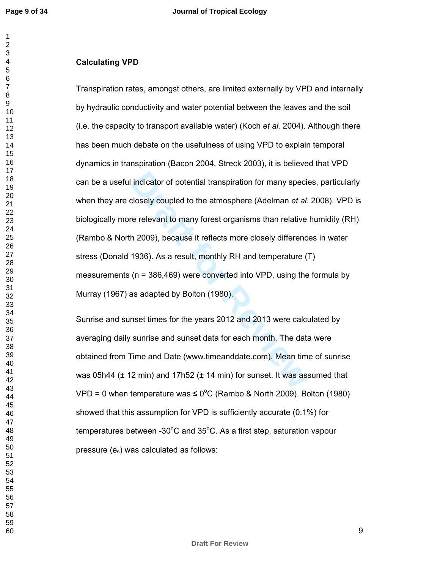$\mathbf{1}$  $\overline{2}$ 

## **Calculating VPD**

indicator of potential transpiration for many speci-<br>closely coupled to the atmosphere (Adelman *et al.*<br>e relevant to many forest organisms than relative<br>h 2009), because it reflects more closely differenc<br>1936). As a res Transpiration rates, amongst others, are limited externally by VPD and internally by hydraulic conductivity and water potential between the leaves and the soil (i.e. the capacity to transport available water) (Koch *et al.* 2004). Although there has been much debate on the usefulness of using VPD to explain temporal dynamics in transpiration (Bacon 2004, Streck 2003), it is believed that VPD can be a useful indicator of potential transpiration for many species, particularly when they are closely coupled to the atmosphere (Adelman *et al.* 2008). VPD is biologically more relevant to many forest organisms than relative humidity (RH) (Rambo & North 2009), because it reflects more closely differences in water stress (Donald 1936). As a result, monthly RH and temperature (T) measurements (n = 386,469) were converted into VPD, using the formula by Murray (1967) as adapted by Bolton (1980).

Sunrise and sunset times for the years 2012 and 2013 were calculated by averaging daily sunrise and sunset data for each month. The data were obtained from Time and Date (www.timeanddate.com). Mean time of sunrise was 05h44 (± 12 min) and 17h52 (± 14 min) for sunset. It was assumed that  $VPD = 0$  when temperature was  $\leq 0^{\circ}C$  (Rambo & North 2009). Bolton (1980) showed that this assumption for VPD is sufficiently accurate (0.1%) for temperatures between -30 $^{\circ}$ C and 35 $^{\circ}$ C. As a first step, saturation vapour pressure (e <sup>s</sup>) was calculated as follows: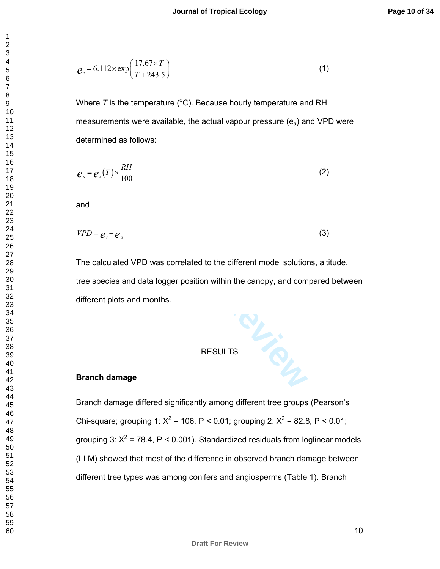$$
e_e = 6.112 \times \exp\left(\frac{17.67 \times T}{T + 243.5}\right)
$$
 (1)

Where  $T$  is the temperature ( ${}^{\circ}$ C). Because hourly temperature and RH measurements were available, the actual vapour pressure (e <sup>a</sup>) and VPD were determined as follows:

$$
e_a = e_s(T) \times \frac{RH}{100}
$$
 (2)

and

$$
VPD = e_s - e_a \tag{3}
$$

VPD was correlated to the different model solution<br>d data logger position within the canopy, and com<br>nd months.<br>RESULTS The calculated VPD was correlated to the different model solutions, altitude, tree species and data logger position within the canopy, and compared between different plots and months.

### RESULTS

## **Branch damage**

Branch damage differed significantly among different tree groups (Pearson's Chi-square; grouping 1:  $X^2$  = 106, P < 0.01; grouping 2:  $X^2$  = 82.8, P < 0.01; grouping 3:  $X^2$  = 78.4, P < 0.001). Standardized residuals from loglinear models (LLM) showed that most of the difference in observed branch damage between different tree types was among conifers and angiosperms (Table 1). Branch

 $\mathbf{1}$  $\overline{2}$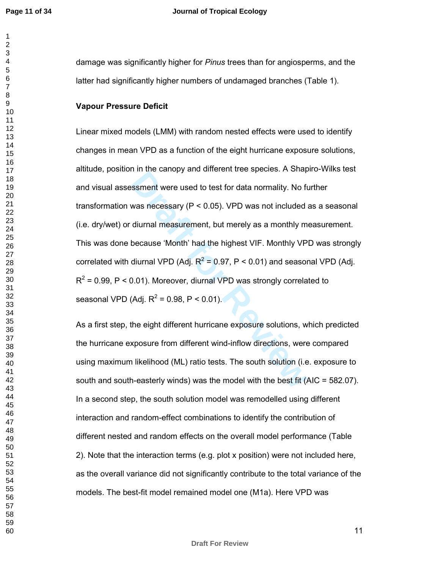damage was significantly higher for *Pinus* trees than for angiosperms, and the latter had significantly higher numbers of undamaged branches (Table 1).

## **Vapour Pressure Deficit**

Final the samply and sinction these operator. The sample sense are used to test for data normality. No futural measurement, but merely as a monthly m<br>because 'Month' had the highest VIF. Monthly VP<br>diurnal VPD (Adj. R<sup>2</sup> Linear mixed models (LMM) with random nested effects were used to identify changes in mean VPD as a function of the eight hurricane exposure solutions, altitude, position in the canopy and different tree species. A Shapiro-Wilks test and visual assessment were used to test for data normality. No further transformation was necessary (P < 0.05). VPD was not included as a seasonal (i.e. dry/wet) or diurnal measurement, but merely as a monthly measurement. This was done because 'Month' had the highest VIF. Monthly VPD was strongly correlated with diurnal VPD (Adj.  $R^2$  = 0.97, P < 0.01) and seasonal VPD (Adj.  $R^2$  = 0.99, P < 0.01). Moreover, diurnal VPD was strongly correlated to seasonal VPD (Adj. R<sup>2</sup> = 0.98, P < 0.01).

As a first step, the eight different hurricane exposure solutions, which predicted the hurricane exposure from different wind-inflow directions, were compared using maximum likelihood (ML) ratio tests. The south solution (i.e. exposure to south and south-easterly winds) was the model with the best fit (AIC = 582.07). In a second step, the south solution model was remodelled using different interaction and random-effect combinations to identify the contribution of different nested and random effects on the overall model performance (Table 2). Note that the interaction terms (e.g. plot x position) were not included here, as the overall variance did not significantly contribute to the total variance of the models. The best-fit model remained model one (M1a). Here VPD was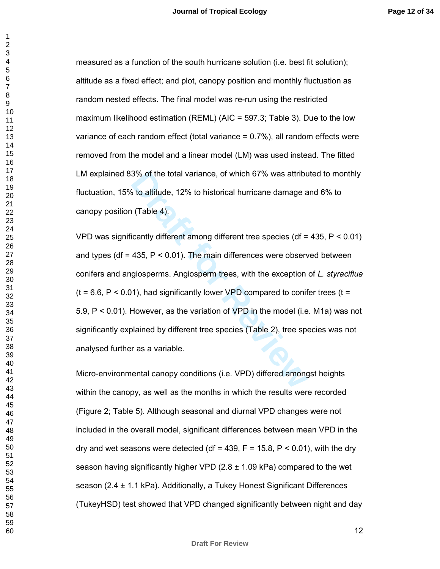$\mathbf{1}$ 

measured as a function of the south hurricane solution (i.e. best fit solution); altitude as a fixed effect; and plot, canopy position and monthly fluctuation as random nested effects. The final model was re-run using the restricted maximum likelihood estimation (REML) (AIC = 597.3; Table 3). Due to the low variance of each random effect (total variance = 0.7%), all random effects were removed from the model and a linear model (LM) was used instead. The fitted LM explained 83% of the total variance, of which 67% was attributed to monthly fluctuation, 15% to altitude, 12% to historical hurricane damage and 6% to canopy position (Table 4).

3% of the total variance, of which 67% was attribute to to altitude, 12% to historical hurricane damage at (Table 4).<br>
Crantly different among different tree species (df = 435, P < 0.01). The main differences were observed VPD was significantly different among different tree species (df = , P <  $0.01$ ) and types (df = ,  $P < 0.01$ ). The main differences were observed between conifers and angiosperms. Angiosperm trees, with the exception of *L. styraciflua*  $(t = 6.6, P < 0.01)$ , had significantly lower VPD compared to conifer trees  $(t = 1, 1, 1)$ 5.9, P < 0.01). However, as the variation of VPD in the model (i.e. M1a) was not significantly explained by different tree species (Table 2), tree species was not analysed further as a variable.

Micro-environmental canopy conditions (i.e. VPD) differed amongst heights within the canopy, as well as the months in which the results were recorded (Figure 2; Table 5). Although seasonal and diurnal VPD changes were not included in the overall model, significant differences between mean VPD in the dry and wet seasons were detected (df = , F =  $15.8$ , P < 0.01), with the dry season having significantly higher VPD  $(2.8 \pm 1.09 \text{ kPa})$  compared to the wet season (2.4 ± 1.1 kPa). Additionally, a Tukey Honest Significant Differences (TukeyHSD) test showed that VPD changed significantly between night and day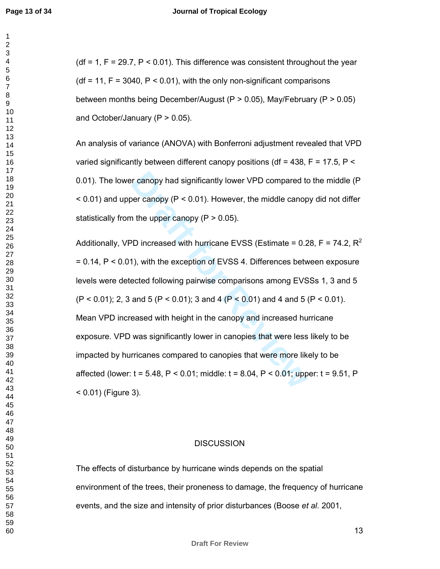(df = 1,  $F = 29.7$ ,  $P < 0.01$ ). This difference was consistent throughout the year (df = 11,  $F = 3040$ ,  $P < 0.01$ ), with the only non-significant comparisons between months being December/August (P > 0.05), May/February (P > 0.05) and October/January  $(P > 0.05)$ .

An analysis of variance (ANOVA) with Bonferroni adjustment revealed that VPD varied significantly between different canopy positions (df = 438,  $F = 17.5$ , P < 0.01). The lower canopy had significantly lower VPD compared to the middle (P  $<$  0.01) and upper canopy (P  $<$  0.01). However, the middle canopy did not differ statistically from the upper canopy  $(P > 0.05)$ .

From all significantly lower VPD compared to<br>
Der canopy (P < 0.01). However, the middle canop<br>
1 the upper canopy (P > 0.05).<br>
PD increased with hurricane EVSS (Estimate = 0.2<br>
1), with the exception of EVSS 4. Differenc Additionally, VPD increased with hurricane EVSS (Estimate = 0.28, F = 74.2,  $R^2$ = 0.14, P < 0.01), with the exception of EVSS 4. Differences between exposure levels were detected following pairwise comparisons among EVSSs 1, 3 and 5  $(P < 0.01)$ ; 2, 3 and 5 (P < 0.01); 3 and 4 (P < 0.01) and 4 and 5 (P < 0.01). Mean VPD increased with height in the canopy and increased hurricane exposure. VPD was significantly lower in canopies that were less likely to be impacted by hurricanes compared to canopies that were more likely to be affected (lower:  $t = 5.48$ ,  $P < 0.01$ ; middle:  $t = 8.04$ ,  $P < 0.01$ ; upper:  $t = 9.51$ , P < 0.01) (Figure 3).

### **DISCUSSION**

The effects of disturbance by hurricane winds depends on the spatial environment of the trees, their proneness to damage, the frequency of hurricane events, and the size and intensity of prior disturbances (Boose *et al.* 2001,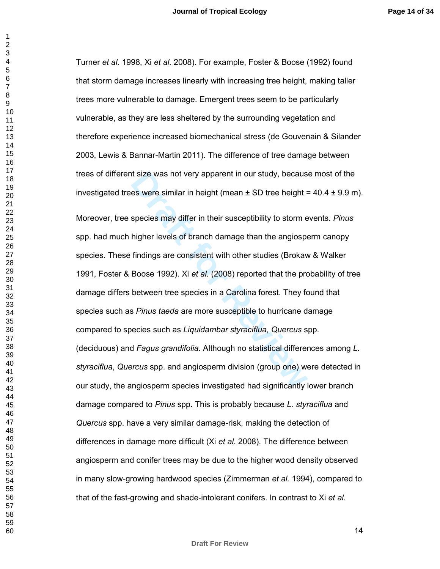$\mathbf{1}$ 

Turner *et al.* 1998, Xi *et al.* 2008). For example, Foster & Boose (1992) found that storm damage increases linearly with increasing tree height, making taller trees more vulnerable to damage. Emergent trees seem to be particularly vulnerable, as they are less sheltered by the surrounding vegetation and therefore experience increased biomechanical stress (de Gouvenain & Silander 2003, Lewis & Bannar-Martin 2011). The difference of tree damage between trees of different size was not very apparent in our study, because most of the investigated trees were similar in height (mean  $\pm$  SD tree height = 40.4  $\pm$  9.9 m).

It size was not very apparent in our study, becaus<br>es were similar in height (mean ± SD tree height =<br>species may differ in their susceptibility to storm e<br>higher levels of branch damage than the angiospe<br>findings are cons Moreover, tree species may differ in their susceptibility to storm events. *Pinus* spp. had much higher levels of branch damage than the angiosperm canopy species. These findings are consistent with other studies (Brokaw & Walker 1991, Foster & Boose 1992). Xi *et al.* (2008) reported that the probability of tree damage differs between tree species in a Carolina forest. They found that species such as *Pinus taeda* are more susceptible to hurricane damage compared to species such as *Liquidambar styraciflua*, *Quercus* spp. (deciduous) and *Fagus grandifolia*. Although no statistical differences among *L. styraciflua*, *Quercus* spp. and angiosperm division (group one) were detected in our study, the angiosperm species investigated had significantly lower branch damage compared to *Pinus* spp. This is probably because *L. styraciflua* and *Quercus* spp. have a very similar damage-risk, making the detection of differences in damage more difficult (Xi *et al.* 2008). The difference between angiosperm and conifer trees may be due to the higher wood density observed in many slow-growing hardwood species (Zimmerman *et al.* 1994), compared to that of the fast-growing and shade-intolerant conifers. In contrast to Xi *et al.*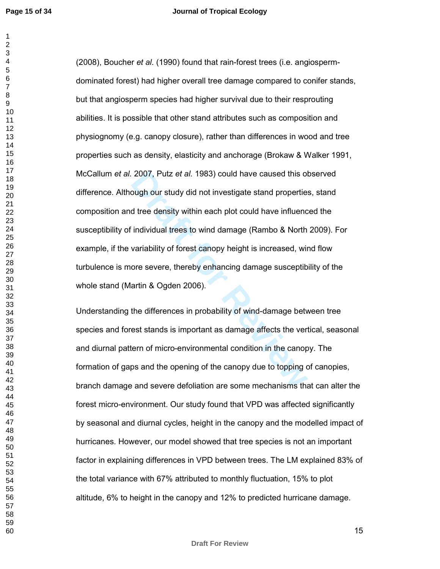$\mathbf{1}$ 

2007, Putz et al. 1983) could have caused this of<br>bugh our study did not investigate stand propertie-<br>d tree density within each plot could have influence<br>individual trees to wind damage (Rambo & North<br>variability of fores (2008), Boucher *et al.* (1990) found that rain-forest trees (i.e. angiospermdominated forest) had higher overall tree damage compared to conifer stands, but that angiosperm species had higher survival due to their resprouting abilities. It is possible that other stand attributes such as composition and physiognomy (e.g. canopy closure), rather than differences in wood and tree properties such as density, elasticity and anchorage (Brokaw & Walker 1991, McCallum *et al.* 2007, Putz *et al.* 1983) could have caused this observed difference. Although our study did not investigate stand properties, stand composition and tree density within each plot could have influenced the susceptibility of individual trees to wind damage (Rambo & North 2009). For example, if the variability of forest canopy height is increased, wind flow turbulence is more severe, thereby enhancing damage susceptibility of the whole stand (Martin & Ogden 2006).

Understanding the differences in probability of wind-damage between tree species and forest stands is important as damage affects the vertical, seasonal and diurnal pattern of micro-environmental condition in the canopy. The formation of gaps and the opening of the canopy due to topping of canopies, branch damage and severe defoliation are some mechanisms that can alter the forest micro-environment. Our study found that VPD was affected significantly by seasonal and diurnal cycles, height in the canopy and the modelled impact of hurricanes. However, our model showed that tree species is not an important factor in explaining differences in VPD between trees. The LM explained 83% of the total variance with 67% attributed to monthly fluctuation, 15% to plot altitude, 6% to height in the canopy and 12% to predicted hurricane damage.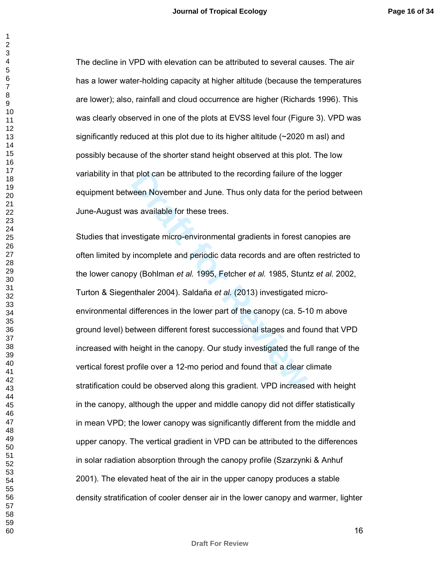**Page 16 of 34**

 $\mathbf{1}$ 

The decline in VPD with elevation can be attributed to several causes. The air has a lower water-holding capacity at higher altitude (because the temperatures are lower); also, rainfall and cloud occurrence are higher (Richards 1996). This was clearly observed in one of the plots at EVSS level four (Figure 3). VPD was significantly reduced at this plot due to its higher altitude (~2020 m asl) and possibly because of the shorter stand height observed at this plot. The low variability in that plot can be attributed to the recording failure of the logger equipment between November and June. Thus only data for the period between June-August was available for these trees.

It plot can be attributed to the recording failure of t<br>
veen November and June. Thus only data for the p<br>
as available for these trees.<br>
estigate micro-environmental gradients in forest c<br>
incomplete and periodic data rec Studies that investigate micro-environmental gradients in forest canopies are often limited by incomplete and periodic data records and are often restricted to the lower canopy (Bohlman *et al.* 1995, Fetcher *et al.* 1985, Stuntz *et al.* 2002, Turton & Siegenthaler 2004). Saldaña *et al.* (2013) investigated microenvironmental differences in the lower part of the canopy (ca. 5-10 m above ground level) between different forest successional stages and found that VPD increased with height in the canopy. Our study investigated the full range of the vertical forest profile over a 12-mo period and found that a clear climate stratification could be observed along this gradient. VPD increased with height in the canopy, although the upper and middle canopy did not differ statistically in mean VPD; the lower canopy was significantly different from the middle and upper canopy. The vertical gradient in VPD can be attributed to the differences in solar radiation absorption through the canopy profile (Szarzynki & Anhuf 2001). The elevated heat of the air in the upper canopy produces a stable density stratification of cooler denser air in the lower canopy and warmer, lighter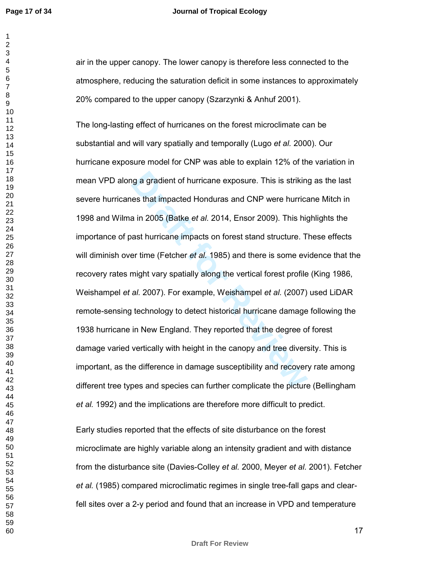$\mathbf{1}$ 

### **Journal of Tropical Ecology**

air in the upper canopy. The lower canopy is therefore less connected to the atmosphere, reducing the saturation deficit in some instances to approximately 20% compared to the upper canopy (Szarzynki & Anhuf 2001).

ng a gradient of hurricane exposure. This is striking<br>es that impacted Honduras and CNP were hurrica<br>a in 2005 (Batke *et al.* 2014, Ensor 2009). This hig<br>ast hurricane impacts on forest stand structure. T<br>er time (Fetcher The long-lasting effect of hurricanes on the forest microclimate can be substantial and will vary spatially and temporally (Lugo *et al.* 2000). Our hurricane exposure model for CNP was able to explain 12% of the variation in mean VPD along a gradient of hurricane exposure. This is striking as the last severe hurricanes that impacted Honduras and CNP were hurricane Mitch in 1998 and Wilma in 2005 (Batke *et al.* 2014, Ensor 2009). This highlights the importance of past hurricane impacts on forest stand structure. These effects will diminish over time (Fetcher *et al.* 1985) and there is some evidence that the recovery rates might vary spatially along the vertical forest profile (King 1986, Weishampel *et al.* 2007). For example, Weishampel *et al.* (2007) used LiDAR remote-sensing technology to detect historical hurricane damage following the 1938 hurricane in New England. They reported that the degree of forest damage varied vertically with height in the canopy and tree diversity. This is important, as the difference in damage susceptibility and recovery rate among different tree types and species can further complicate the picture (Bellingham *et al.* 1992) and the implications are therefore more difficult to predict.

Early studies reported that the effects of site disturbance on the forest microclimate are highly variable along an intensity gradient and with distance from the disturbance site (Davies-Colley *et al.* 2000, Meyer *et al.* 2001). Fetcher *et al.* (1985) compared microclimatic regimes in single tree-fall gaps and clearfell sites over a 2-y period and found that an increase in VPD and temperature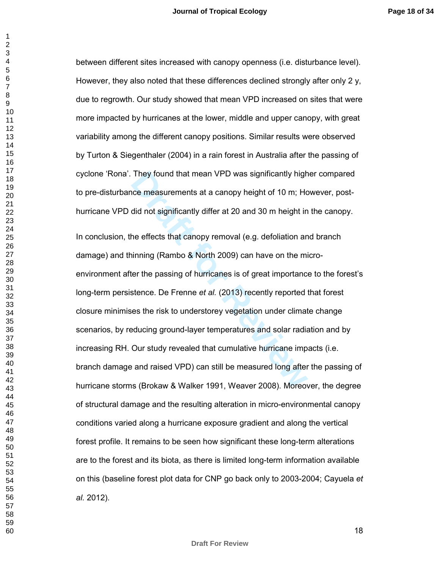$\mathbf{1}$ 

between different sites increased with canopy openness (i.e. disturbance level). However, they also noted that these differences declined strongly after only 2 y, due to regrowth. Our study showed that mean VPD increased on sites that were more impacted by hurricanes at the lower, middle and upper canopy, with great variability among the different canopy positions. Similar results were observed by Turton & Siegenthaler (2004) in a rain forest in Australia after the passing of cyclone 'Rona'. They found that mean VPD was significantly higher compared to pre-disturbance measurements at a canopy height of 10 m; However, posthurricane VPD did not significantly differ at 20 and 30 m height in the canopy.

They found that mean VPD was significantly high<br>the measurements at a canopy height of 10 m; Hot<br>did not significantly differ at 20 and 30 m height in<br>the effects that canopy removal (e.g. defoliation an<br>inning (Rambo & No In conclusion, the effects that canopy removal (e.g. defoliation and branch damage) and thinning (Rambo & North 2009) can have on the microenvironment after the passing of hurricanes is of great importance to the forest's long-term persistence. De Frenne *et al.* (2013) recently reported that forest closure minimises the risk to understorey vegetation under climate change scenarios, by reducing ground-layer temperatures and solar radiation and by increasing RH. Our study revealed that cumulative hurricane impacts (i.e. branch damage and raised VPD) can still be measured long after the passing of hurricane storms (Brokaw & Walker 1991, Weaver 2008). Moreover, the degree of structural damage and the resulting alteration in micro-environmental canopy conditions varied along a hurricane exposure gradient and along the vertical forest profile. It remains to be seen how significant these long-term alterations are to the forest and its biota, as there is limited long-term information available on this (baseline forest plot data for CNP go back only to 2003-2004; Cayuela *et al.* 2012).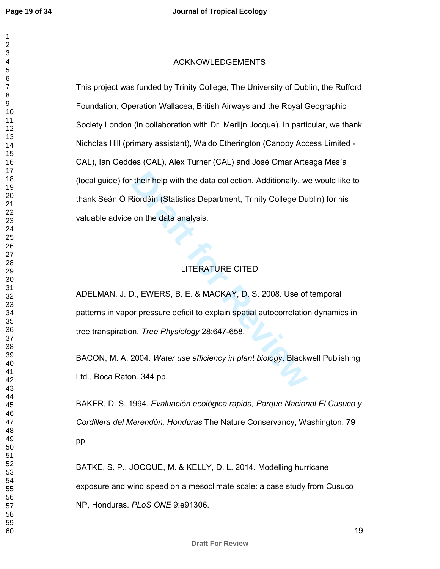# ACKNOWLEDGEMENTS

Their help with the data collection. Additionally, we<br>
Riordáin (Statistics Department, Trinity College Du<br>
on the data analysis.<br>
LITERATURE CITED<br>
D., EWERS, B. E. & MACKAY, D. S. 2008. Use of<br>
prepressure deficit to exp This project was funded by Trinity College, The University of Dublin, the Rufford Foundation, Operation Wallacea, British Airways and the Royal Geographic Society London (in collaboration with Dr. Merlijn Jocque). In particular, we thank Nicholas Hill (primary assistant), Waldo Etherington (Canopy Access Limited - CAL), Ian Geddes (CAL), Alex Turner (CAL) and José Omar Arteaga Mesía (local guide) for their help with the data collection. Additionally, we would like to thank Seán Ó Riordáin (Statistics Department, Trinity College Dublin) for his valuable advice on the data analysis.

# LITERATURE CITED

ADELMAN, J. D., EWERS, B. E. & MACKAY, D. S. 2008. Use of temporal patterns in vapor pressure deficit to explain spatial autocorrelation dynamics in tree transpiration. *Tree Physiology* 28:647-658.

BACON, M. A. 2004. *Water use efficiency in plant biology*. Blackwell Publishing Ltd., Boca Raton. 344 pp.

BAKER, D. S. 1994. *Evaluación ecológica rapida, Parque Nacional El Cusuco y Cordillera del Merendón, Honduras* The Nature Conservancy, Washington. 79 pp.

BATKE, S. P., JOCQUE, M. & KELLY, D. L. 2014. Modelling hurricane exposure and wind speed on a mesoclimate scale: a case study from Cusuco NP, Honduras. *PLoS ONE* 9:e91306.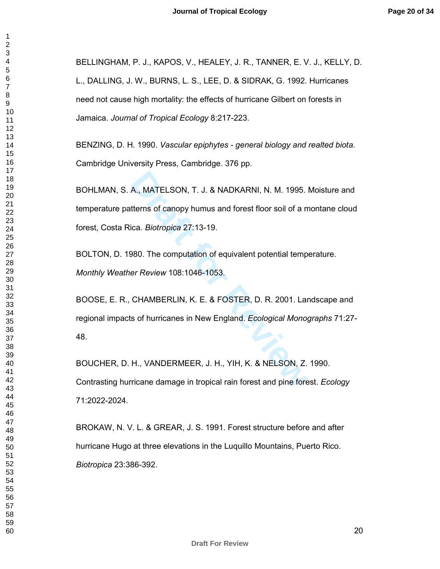BELLINGHAM, P. J., KAPOS, V., HEALEY, J. R., TANNER, E. V. J., KELLY, D. L., DALLING, J. W., BURNS, L. S., LEE, D. & SIDRAK, G. 1992. Hurricanes need not cause high mortality: the effects of hurricane Gilbert on forests in Jamaica. *Journal of Tropical Ecology* 8:217-223.

BENZING, D. H. 1990. *Vascular epiphytes - general biology and realted biota*. Cambridge University Press, Cambridge. 376 pp.

BOHLMAN, S. A., MATELSON, T. J. & NADKARNI, N. M. 1995. Moisture and temperature patterns of canopy humus and forest floor soil of a montane cloud forest, Costa Rica. *Biotropica* 27:13-19.

BOLTON, D. 1980. The computation of equivalent potential temperature. *Monthly Weather Review* 108:1046-1053.

A., MATELSON, T. J. & NADKARNI, N. M. 1995.<br>tterns of canopy humus and forest floor soil of a n<br>ica. *Biotropica* 27:13-19.<br>980. The computation of equivalent potential temp<br>er Review 108:1046-1053.<br>CHAMBERLIN, K. E. & FOS BOOSE, E. R., CHAMBERLIN, K. E. & FOSTER, D. R. 2001. Landscape and regional impacts of hurricanes in New England. *Ecological Monographs* 71:27- 48.

BOUCHER, D. H., VANDERMEER, J. H., YIH, K. & NELSON, Z. 1990. Contrasting hurricane damage in tropical rain forest and pine forest. *Ecology*  71:2022-2024.

BROKAW, N. V. L. & GREAR, J. S. 1991. Forest structure before and after hurricane Hugo at three elevations in the Luquillo Mountains, Puerto Rico. *Biotropica* 23:386-392.

 $\mathbf{1}$  $\overline{2}$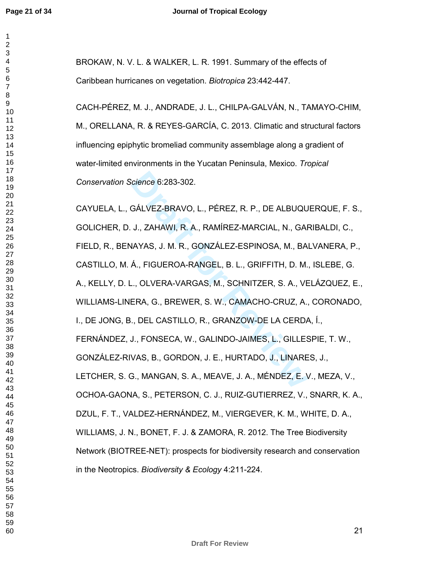#### **Journal of Tropical Ecology**

BROKAW, N. V. L. & WALKER, L. R. 1991. Summary of the effects of Caribbean hurricanes on vegetation. *Biotropica* 23:442-447.

CACH-PÉREZ, M. J., ANDRADE, J. L., CHILPA-GALVÁN, N., TAMAYO-CHIM, M., ORELLANA, R. & REYES-GARCÍA, C. 2013. Climatic and structural factors influencing epiphytic bromeliad community assemblage along a gradient of water-limited environments in the Yucatan Peninsula, Mexico. *Tropical Conservation Science* 6:283-302.

cience 6:283-302.<br>
GÁLVEZ-BRAVO, L., PÉREZ, R. P., DE ALBUQU<br>
J., ZAHAWI, R. A., RAMÍREZ-MARCIAL, N., GAI<br>
IAYAS, J. M. R., GONZÁLEZ-ESPINOSA, M., BA<br>
Á., FIGUEROA-RANGEL, B. L., GRIFFITH, D. M.<br>
.., OLVERA-VARGAS, M., SCH CAYUELA, L., GÁLVEZ-BRAVO, L., PÉREZ, R. P., DE ALBUQUERQUE, F. S., GOLICHER, D. J., ZAHAWI, R. A., RAMÍREZ-MARCIAL, N., GARIBALDI, C., FIELD, R., BENAYAS, J. M. R., GONZÁLEZ-ESPINOSA, M., BALVANERA, P., CASTILLO, M. Á., FIGUEROA-RANGEL, B. L., GRIFFITH, D. M., ISLEBE, G. A., KELLY, D. L., OLVERA-VARGAS, M., SCHNITZER, S. A., VELÁZQUEZ, E., WILLIAMS-LINERA, G., BREWER, S. W., CAMACHO-CRUZ, A., CORONADO, I., DE JONG, B., DEL CASTILLO, R., GRANZOW-DE LA CERDA, Í., FERNÁNDEZ, J., FONSECA, W., GALINDO-JAIMES, L., GILLESPIE, T. W., GONZÁLEZ-RIVAS, B., GORDON, J. E., HURTADO, J., LINARES, J., LETCHER, S. G., MANGAN, S. A., MEAVE, J. A., MÉNDEZ, E. V., MEZA, V., OCHOA-GAONA, S., PETERSON, C. J., RUIZ-GUTIERREZ, V., SNARR, K. A., DZUL, F. T., VALDEZ-HERNÁNDEZ, M., VIERGEVER, K. M., WHITE, D. A., WILLIAMS, J. N., BONET, F. J. & ZAMORA, R. 2012. The Tree Biodiversity Network (BIOTREE-NET): prospects for biodiversity research and conservation in the Neotropics. *Biodiversity & Ecology* 4:211-224.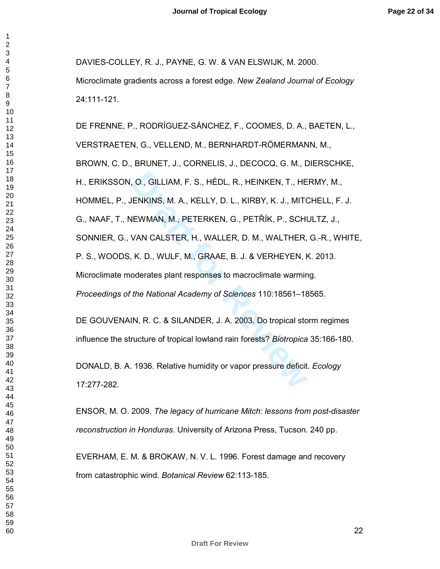DAVIES-COLLEY, R. J., PAYNE, G. W. & VAN ELSWIJK, M. 2000.

Microclimate gradients across a forest edge. *New Zealand Journal of Ecology*  24:111-121.

**, O., GILLIAM, F. S., HÉDL, R., HEINKEN, T., HE<br>IENKINS, M. A., KELLY, D. L., KIRBY, K. J., MITO<br>IEWMAN, M., PETERKEN, G., PETŘÍK, P., SCHU<br>VAN CALSTER, H., WALLER, D. M., WALTHER,<br>K. D., WULF, M., GRAAE, B. J. & VERHEYEN** DE FRENNE, P., RODRÍGUEZ-SÁNCHEZ, F., COOMES, D. A., BAETEN, L., VERSTRAETEN, G., VELLEND, M., BERNHARDT-RÖMERMANN, M., BROWN, C. D., BRUNET, J., CORNELIS, J., DECOCQ, G. M., DIERSCHKE, H., ERIKSSON, O., GILLIAM, F. S., HÉDL, R., HEINKEN, T., HERMY, M., HOMMEL, P., JENKINS, M. A., KELLY, D. L., KIRBY, K. J., MITCHELL, F. J. G., NAAF, T., NEWMAN, M., PETERKEN, G., PETŘÍK, P., SCHULTZ, J., SONNIER, G., VAN CALSTER, H., WALLER, D. M., WALTHER, G.-R., WHITE, P. S., WOODS, K. D., WULF, M., GRAAE, B. J. & VERHEYEN, K. 2013. Microclimate moderates plant responses to macroclimate warming. *Proceedings of the National Academy of Sciences* 110:18561–18565.

DE GOUVENAIN, R. C. & SILANDER, J. A. 2003. Do tropical storm regimes influence the structure of tropical lowland rain forests? *Biotropica* 35:166-180.

DONALD, B. A. 1936. Relative humidity or vapor pressure deficit. *Ecology*  17:277-282.

ENSOR, M. O. 2009. *The legacy of hurricane Mitch: lessons from post-disaster reconstruction in Honduras*. University of Arizona Press, Tucson. 240 pp.

EVERHAM, E. M. & BROKAW, N. V. L. 1996. Forest damage and recovery from catastrophic wind. *Botanical Review* 62:113-185.

 $\mathbf{1}$  $\overline{2}$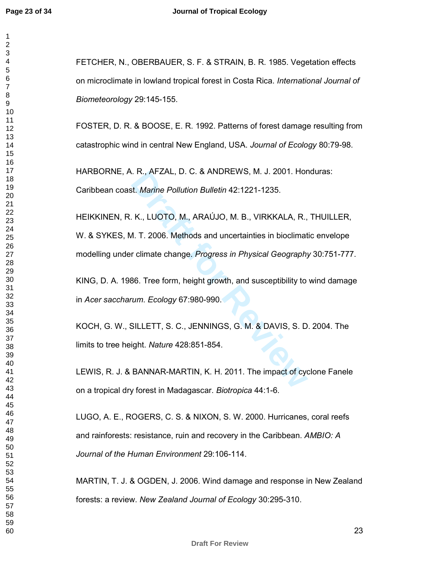FETCHER, N., OBERBAUER, S. F. & STRAIN, B. R. 1985. Vegetation effects on microclimate in lowland tropical forest in Costa Rica. *International Journal of Biometeorology* 29:145-155.

FOSTER, D. R. & BOOSE, E. R. 1992. Patterns of forest damage resulting from catastrophic wind in central New England, USA. *Journal of Ecology* 80:79-98.

HARBORNE, A. R., AFZAL, D. C. & ANDREWS, M. J. 2001. Honduras: Caribbean coast. *Marine Pollution Bulletin* 42:1221-1235.

**EXECUTE: A FINDITE FOR ANDREWS, M. J. 2001. Hornor, M. Andrine Pollution Bulletin 42:1221-1235.**<br> **Draft Formation Bulletin 42:1221-1235.**<br> **Draft Formation Bulletin 42:1221-1235.**<br> **Draft Formation Bulletin and Bulletin** HEIKKINEN, R. K., LUOTO, M., ARAÚJO, M. B., VIRKKALA, R., THUILLER, W. & SYKES, M. T. 2006. Methods and uncertainties in bioclimatic envelope modelling under climate change. *Progress in Physical Geography* 30:751-777.

KING, D. A. 1986. Tree form, height growth, and susceptibility to wind damage in *Acer saccharum*. *Ecology* 67:980-990.

KOCH, G. W., SILLETT, S. C., JENNINGS, G. M. & DAVIS, S. D. 2004. The limits to tree height. *Nature* 428:851-854.

LEWIS, R. J. & BANNAR-MARTIN, K. H. 2011. The impact of cyclone Fanele on a tropical dry forest in Madagascar. *Biotropica* 44:1-6.

LUGO, A. E., ROGERS, C. S. & NIXON, S. W. 2000. Hurricanes, coral reefs and rainforests: resistance, ruin and recovery in the Caribbean. *AMBIO: A Journal of the Human Environment* 29:106-114.

MARTIN, T. J. & OGDEN, J. 2006. Wind damage and response in New Zealand forests: a review. *New Zealand Journal of Ecology* 30:295-310.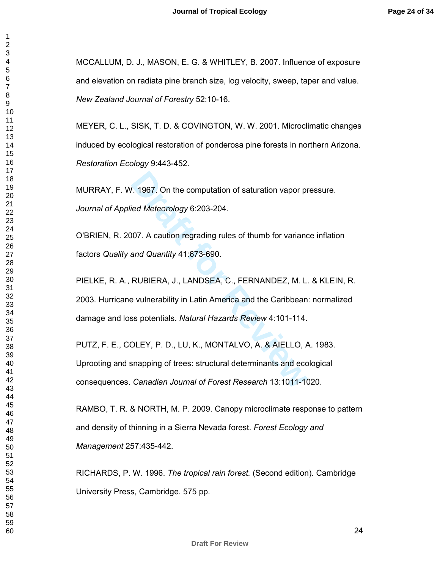MCCALLUM, D. J., MASON, E. G. & WHITLEY, B. 2007. Influence of exposure and elevation on radiata pine branch size, log velocity, sweep, taper and value. *New Zealand Journal of Forestry* 52:10-16.

MEYER, C. L., SISK, T. D. & COVINGTON, W. W. 2001. Microclimatic changes induced by ecological restoration of ponderosa pine forests in northern Arizona. *Restoration Ecology* 9:443-452.

MURRAY, F. W. 1967. On the computation of saturation vapor pressure. *Journal of Applied Meteorology* 6:203-204.

O'BRIEN, R. 2007. A caution regrading rules of thumb for variance inflation factors *Quality and Quantity* 41:673-690.

PIELKE, R. A., RUBIERA, J., LANDSEA, C., FERNANDEZ, M. L. & KLEIN, R. 2003. Hurricane vulnerability in Latin America and the Caribbean: normalized damage and loss potentials. *Natural Hazards Review* 4:101-114.

1. 1967. On the computation of saturation vapor pr<br>
ied Meteorology 6:203-204.<br>
1007. A caution regrading rules of thumb for variand<br>
2017. A caution regrading rules of thumb for variand<br>
2017. A caution regrading rules of PUTZ, F. E., COLEY, P. D., LU, K., MONTALVO, A. & AIELLO, A. 1983. Uprooting and snapping of trees: structural determinants and ecological consequences. *Canadian Journal of Forest Research* 13:1011-1020.

RAMBO, T. R. & NORTH, M. P. 2009. Canopy microclimate response to pattern and density of thinning in a Sierra Nevada forest. *Forest Ecology and Management* 257:435-442.

RICHARDS, P. W. 1996. *The tropical rain forest.* (Second edition). Cambridge University Press, Cambridge. 575 pp.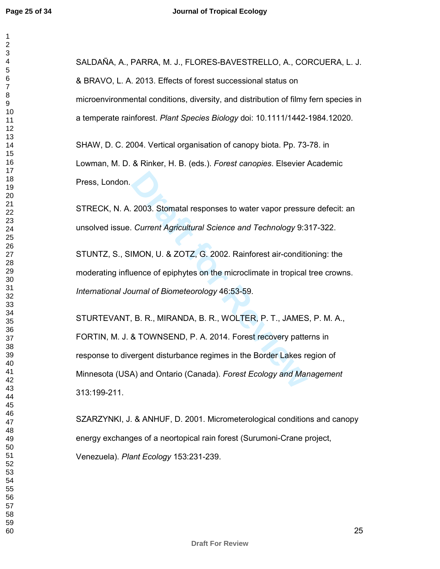SALDAÑA, A., PARRA, M. J., FLORES-BAVESTRELLO, A., CORCUERA, L. J. & BRAVO, L. A. 2013. Effects of forest successional status on microenvironmental conditions, diversity, and distribution of filmy fern species in a temperate rainforest. *Plant Species Biology* doi: 10.1111/1442-1984.12020.

SHAW, D. C. 2004. Vertical organisation of canopy biota. Pp. 73-78. in Lowman, M. D. & Rinker, H. B. (eds.). *Forest canopies*. Elsevier Academic Press, London.

STRECK, N. A. 2003. Stomatal responses to water vapor pressure defecit: an unsolved issue. *Current Agricultural Science and Technology* 9:317-322.

STUNTZ, S., SIMON, U. & ZOTZ, G. 2002. Rainforest air-conditioning: the moderating influence of epiphytes on the microclimate in tropical tree crowns. *International Journal of Biometeorology* 46:53-59.

2003. Stomatal responses to water vapor pressu<br>
Current Agricultural Science and Technology 9:3<br>
IMON, U. & ZOTZ, G. 2002. Rainforest air-condition<br>
uence of epiphytes on the microclimate in tropical<br>
urnal of Biometeorolo STURTEVANT, B. R., MIRANDA, B. R., WOLTER, P. T., JAMES, P. M. A., FORTIN, M. J. & TOWNSEND, P. A. 2014. Forest recovery patterns in response to divergent disturbance regimes in the Border Lakes region of Minnesota (USA) and Ontario (Canada). *Forest Ecology and Management*  313:199-211.

SZARZYNKI, J. & ANHUF, D. 2001. Micrometerological conditions and canopy energy exchanges of a neortopical rain forest (Surumoni-Crane project, Venezuela). *Plant Ecology* 153:231-239.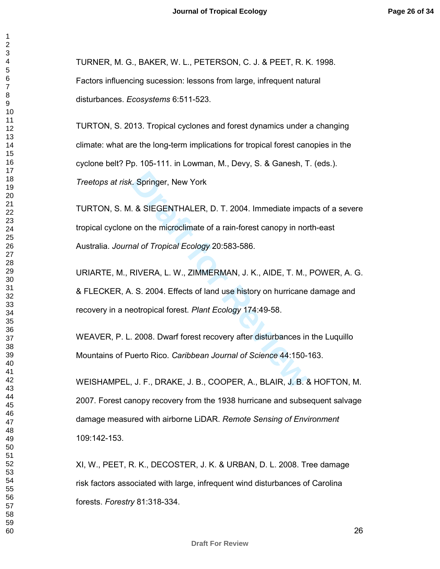TURNER, M. G., BAKER, W. L., PETERSON, C. J. & PEET, R. K. 1998. Factors influencing sucession: lessons from large, infrequent natural disturbances. *Ecosystems* 6:511-523.

TURTON, S. 2013. Tropical cyclones and forest dynamics under a changing climate: what are the long-term implications for tropical forest canopies in the cyclone belt? Pp. 105-111. in Lowman, M., Devy, S. & Ganesh, T. (eds.). *Treetops at risk*. Springer, New York

Example For New York<br>
2. & SIEGENTHALER, D. T. 2004. Immediate impare on the microclimate of a rain-forest canopy in not<br>
2. and of Tropical Ecology 20:583-586.<br>
2. RIVERA, L. W., ZIMMERMAN, J. K., AIDE, T. M.,<br>
3. 2004. E TURTON, S. M. & SIEGENTHALER, D. T. 2004. Immediate impacts of a severe tropical cyclone on the microclimate of a rain-forest canopy in north-east Australia. *Journal of Tropical Ecology* 20:583-586.

URIARTE, M., RIVERA, L. W., ZIMMERMAN, J. K., AIDE, T. M., POWER, A. G. & FLECKER, A. S. 2004. Effects of land use history on hurricane damage and recovery in a neotropical forest. *Plant Ecology* 174:49-58.

WEAVER, P. L. 2008. Dwarf forest recovery after disturbances in the Luquillo Mountains of Puerto Rico. *Caribbean Journal of Science* 44:150-163.

WEISHAMPEL, J. F., DRAKE, J. B., COOPER, A., BLAIR, J. B. & HOFTON, M. 2007. Forest canopy recovery from the 1938 hurricane and subsequent salvage damage measured with airborne LiDAR. *Remote Sensing of Environment*  109:142-153.

XI, W., PEET, R. K., DECOSTER, J. K. & URBAN, D. L. 2008. Tree damage risk factors associated with large, infrequent wind disturbances of Carolina forests. *Forestry* 81:318-334.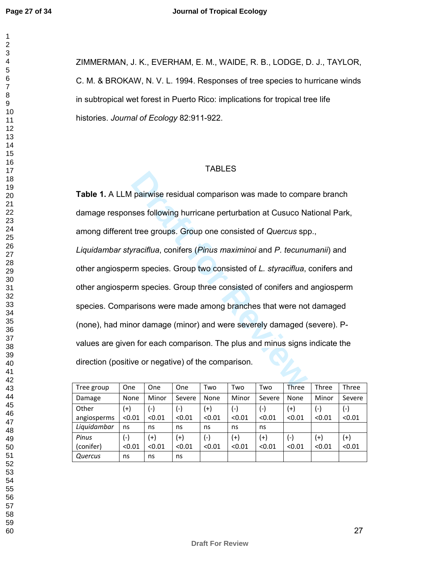$\mathbf{1}$ 

ZIMMERMAN, J. K., EVERHAM, E. M., WAIDE, R. B., LODGE, D. J., TAYLOR, C. M. & BROKAW, N. V. L. 1994. Responses of tree species to hurricane winds in subtropical wet forest in Puerto Rico: implications for tropical tree life histories. *Journal of Ecology* 82:911-922.

## TABLES

**Priority is a comparison was made to compares following hurricane perturbation at Cusuco Nat<br>
It tree groups. Group one consisted of** *Quercus* **sp<br>** *Praciflua***, conifers (***Pinus maximinoi* **and** *P. tecunum***<br>
Trappecies. Gro Table 1.** A LLM pairwise residual comparison was made to compare branch damage responses following hurricane perturbation at Cusuco National Park, among different tree groups. Group one consisted of *Quercus* spp., *Liquidambar styraciflua*, conifers (*Pinus maximinoi* and *P. tecunumanii*) and other angiosperm species. Group two consisted of *L. styraciflua*, conifers and other angiosperm species. Group three consisted of conifers and angiosperm species. Comparisons were made among branches that were not damaged (none), had minor damage (minor) and were severely damaged (severe). Pvalues are given for each comparison. The plus and minus signs indicate the direction (positive or negative) of the comparison.

| Tree group  | One                | <b>One</b> | <b>One</b>         | Two      | Two    | Two      | Three    | Three              | <b>Three</b>       |
|-------------|--------------------|------------|--------------------|----------|--------|----------|----------|--------------------|--------------------|
| Damage      | None               | Minor      | Severe             | None     | Minor  | Severe   | None     | Minor              | Severe             |
| Other       | $^{(+)}$           | $(-)$      | $(\textnormal{-})$ | $^{(+)}$ | $(-)$  | $(-)$    | $^{(+)}$ | $(\textnormal{-})$ | $(\textnormal{-})$ |
| angiosperms | < 0.01             | < 0.01     | < 0.01             | < 0.01   | < 0.01 | < 0.01   | < 0.01   | < 0.01             | < 0.01             |
| Liquidambar | ns                 | ns         | ns                 | ns       | ns     | ns       |          |                    |                    |
| Pinus       | $(\textnormal{-})$ | $(+)$      | $(+)$              | $(-)$    | $(+)$  | $^{(+)}$ | $(-)$    | $^{(+)}$           | $^{(+)}$           |
| (conifer)   | < 0.01             | < 0.01     | < 0.01             | < 0.01   | < 0.01 | < 0.01   | < 0.01   | < 0.01             | < 0.01             |
| Quercus     | ns                 | ns         | ns                 |          |        |          |          |                    |                    |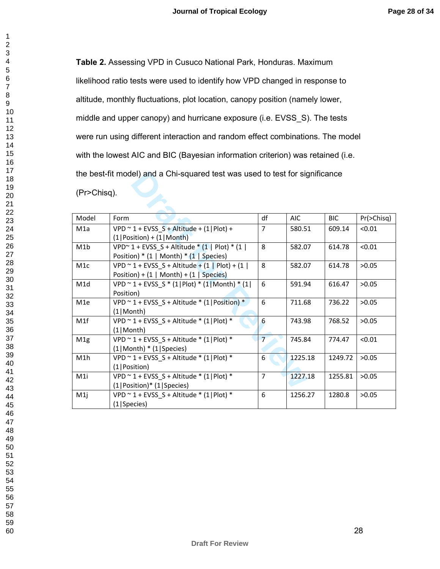**Table 2.** Assessing VPD in Cusuco National Park, Honduras. Maximum likelihood ratio tests were used to identify how VPD changed in response to altitude, monthly fluctuations, plot location, canopy position (namely lower, middle and upper canopy) and hurricane exposure (i.e. EVSS\_S). The tests were run using different interaction and random effect combinations. The model with the lowest AIC and BIC (Bayesian information criterion) was retained (i.e. the best-fit model) and a Chi-squared test was used to test for significance (Pr>Chisq).

| the best-fit model) and a Chi-squared test was used to test for significance |                                                            |                |            |            |            |  |  |  |
|------------------------------------------------------------------------------|------------------------------------------------------------|----------------|------------|------------|------------|--|--|--|
| (Pr>Chisq).                                                                  |                                                            |                |            |            |            |  |  |  |
|                                                                              |                                                            |                |            |            |            |  |  |  |
| Model                                                                        | Form                                                       | df             | <b>AIC</b> | <b>BIC</b> | Pr(>Chisq) |  |  |  |
| M1a                                                                          | VPD ~ 1 + EVSS $S$ + Altitude + (1 Plot) +                 | $\overline{7}$ | 580.51     | 609.14     | < 0.01     |  |  |  |
|                                                                              | $(1   Position) + (1   Month)$                             |                |            |            |            |  |  |  |
| M1b                                                                          | VPD~ 1 + EVSS S + Altitude * $(1   Plot) * (1  $           | 8              | 582.07     | 614.78     | < 0.01     |  |  |  |
|                                                                              | Position) * $(1   \text{Month})$ * $(1   \text{ Species})$ |                |            |            |            |  |  |  |
| M <sub>1</sub> c                                                             | VPD ~ 1 + EVSS $S$ + Altitude + (1   Plot) + (1            | 8              | 582.07     | 614.78     | >0.05      |  |  |  |
|                                                                              | Position) + $(1   \text{Month}) + (1   \text{ Species})$   |                |            |            |            |  |  |  |
| M1d                                                                          | VPD ~ 1 + EVSS_S * (1 Plot) * (1 Month) * (1               | 6              | 591.94     | 616.47     | >0.05      |  |  |  |
|                                                                              | Position)                                                  |                |            |            |            |  |  |  |
| M <sub>1e</sub>                                                              | VPD ~ 1 + EVSS S + Altitude * (1  Position) *              | 6              | 711.68     | 736.22     | >0.05      |  |  |  |
|                                                                              | $(1   \text{Month})$                                       |                |            |            |            |  |  |  |
| M1f                                                                          | VPD ~ $1 +$ EVSS S + Altitude * (1 Plot) *                 | 6              | 743.98     | 768.52     | >0.05      |  |  |  |
|                                                                              | $(1   \text{Month})$                                       |                |            |            |            |  |  |  |
| M1g                                                                          | VPD $\sim$ 1 + EVSS_S + Altitude * (1 Plot) *              | $\overline{7}$ | 745.84     | 774.47     | < 0.01     |  |  |  |
|                                                                              | $(1   \text{Month}) * (1   \text{Species})$                |                |            |            |            |  |  |  |
| M1h                                                                          | VPD $\sim$ 1 + EVSS_S + Altitude * (1 Plot) *              | 6              | 1225.18    | 1249.72    | >0.05      |  |  |  |
|                                                                              | (1 Position)                                               |                |            |            |            |  |  |  |
| M1i                                                                          | VPD $\sim$ 1 + EVSS_S + Altitude * (1 Plot) *              | $\overline{7}$ | 1227.18    | 1255.81    | >0.05      |  |  |  |
|                                                                              | (1 Position)* (1 Species)                                  |                |            |            |            |  |  |  |
| M1j                                                                          | VPD ~ $1 +$ EVSS_S + Altitude * (1 Plot) *                 | 6              | 1256.27    | 1280.8     | >0.05      |  |  |  |
|                                                                              | (1 Species)                                                |                |            |            |            |  |  |  |

 $\mathbf{1}$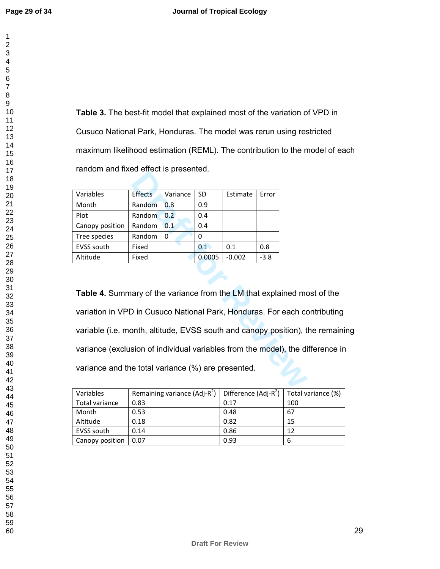**Table 3.** The best-fit model that explained most of the variation of VPD in Cusuco National Park, Honduras. The model was rerun using restricted maximum likelihood estimation (REML). The contribution to the model of each random and fixed effect is presented.

| Variables         | <b>Effects</b> | Variance | <b>SD</b> | Estimate | Error  |
|-------------------|----------------|----------|-----------|----------|--------|
| Month             | Random         | 0.8      | 0.9       |          |        |
| Plot              | Random         | 0.2      | 0.4       |          |        |
| Canopy position   | Random         | 0.1      | 0.4       |          |        |
| Tree species      | Random         | 0        | 0         |          |        |
| <b>EVSS south</b> | Fixed          |          | 0.1       | 0.1      | 0.8    |
| Altitude          | Fixed          |          | 0.0005    | $-0.002$ | $-3.8$ |

Effects Variance SD Estimate Error<br>
Random 0.8 0.9<br>
Random 0.2 0.4<br>
Random 0 0 0<br>
Fixed 0.1 0.1 0.8<br>
Fixed 0.0005 -0.002 -3.8<br>
ary of the variance from the LM that explained model<br>
Din Cusuco National Park, Honduras. For e **Table 4.** Summary of the variance from the LM that explained most of the variation in VPD in Cusuco National Park, Honduras. For each contributing variable (i.e. month, altitude, EVSS south and canopy position), the remaining variance (exclusion of individual variables from the model), the difference in variance and the total variance (%) are presented.

| Variables       | Remaining variance (Adj-R <sup>2</sup> ) | Difference $(Adj-R2)$ | Total variance (%) |
|-----------------|------------------------------------------|-----------------------|--------------------|
| Total variance  | 0.83                                     | 0.17                  | 100                |
| Month           | 0.53                                     | 0.48                  | 67                 |
| Altitude        | 0.18                                     | 0.82                  | 15                 |
| EVSS south      | 0.14                                     | 0.86                  | 12                 |
| Canopy position | 0.07                                     | 0.93                  | 6                  |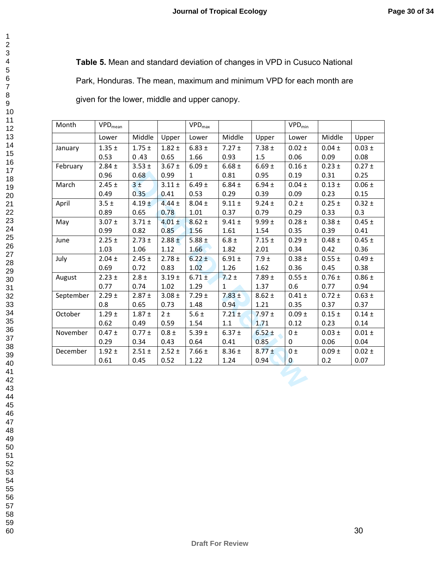**Table 5.** Mean and standard deviation of changes in VPD in Cusuco National Park, Honduras. The mean, maximum and minimum VPD for each month are given for the lower, middle and upper canopy.

| Month     | $VPD_{mean}$ |            |            | $\mathsf{VPD}_{\mathsf{max}}$ |              |            | $VPD_{min}$  |            |            |
|-----------|--------------|------------|------------|-------------------------------|--------------|------------|--------------|------------|------------|
|           | Lower        | Middle     | Upper      | Lower                         | Middle       | Upper      | Lower        | Middle     | Upper      |
| January   | $1.35 \pm$   | $1.75 \pm$ | $1.82 \pm$ | $6.83 \pm$                    | $7.27 \pm$   | $7.38 \pm$ | $0.02 \pm$   | $0.04 \pm$ | $0.03 \pm$ |
|           | 0.53         | 0.43       | 0.65       | 1.66                          | 0.93         | 1.5        | 0.06         | 0.09       | 0.08       |
| February  | $2.84 \pm$   | $3.53 \pm$ | $3.67 \pm$ | $6.09 \pm$                    | $6.68 \pm$   | $6.69 \pm$ | $0.16 \pm$   | $0.23 \pm$ | $0.27 \pm$ |
|           | 0.96         | 0.68       | 0.99       | $\mathbf{1}$                  | 0.81         | 0.95       | 0.19         | 0.31       | 0.25       |
| March     | $2.45 \pm$   | 3±         | $3.11 \pm$ | $6.49 \pm$                    | $6.84 \pm$   | $6.94 \pm$ | $0.04 \pm$   | $0.13 \pm$ | $0.06 \pm$ |
|           | 0.49         | 0.35       | 0.41       | 0.53                          | 0.29         | 0.39       | 0.09         | 0.23       | 0.15       |
| April     | $3.5 \pm$    | $4.19 +$   | $4.44 \pm$ | $8.04 \pm$                    | $9.11 \pm$   | $9.24 \pm$ | $0.2 \pm$    | $0.25 \pm$ | $0.32 \pm$ |
|           | 0.89         | 0.65       | 0.78       | 1.01                          | 0.37         | 0.79       | 0.29         | 0.33       | 0.3        |
| May       | $3.07 \pm$   | $3.71 \pm$ | $4.01 \pm$ | $8.62 \pm$                    | $9.41 \pm$   | $9.99 \pm$ | $0.28 \pm$   | $0.38 \pm$ | $0.45 \pm$ |
|           | 0.99         | 0.82       | 0.85       | 1.56                          | 1.61         | 1.54       | 0.35         | 0.39       | 0.41       |
| June      | $2.25 \pm$   | $2.73 \pm$ | $2.88 \pm$ | $5.88 \pm$                    | $6.8 \pm$    | $7.15 \pm$ | $0.29 \pm$   | $0.48 \pm$ | $0.45 \pm$ |
|           | 1.03         | 1.06       | 1.12       | 1.66                          | 1.82         | 2.01       | 0.34         | 0.42       | 0.36       |
| July      | $2.04 \pm$   | $2.45 \pm$ | $2.78 \pm$ | $6.22 \pm$                    | $6.91 \pm$   | $7.9 \pm$  | $0.38 \pm$   | $0.55 \pm$ | $0.49 \pm$ |
|           | 0.69         | 0.72       | 0.83       | 1.02                          | 1.26         | 1.62       | 0.36         | 0.45       | 0.38       |
| August    | $2.23 \pm$   | $2.8 \pm$  | $3.19 \pm$ | $6.71 \pm$                    | $7.2 \pm$    | $7.89 \pm$ | $0.55 \pm$   | $0.76 \pm$ | $0.86 \pm$ |
|           | 0.77         | 0.74       | 1.02       | 1.29                          | $\mathbf{1}$ | 1.37       | 0.6          | 0.77       | 0.94       |
| September | $2.29 \pm$   | $2.87 \pm$ | $3.08 \pm$ | $7.29 \pm$                    | $7.83 \pm$   | $8.62 \pm$ | $0.41 \pm$   | $0.72 \pm$ | $0.63 \pm$ |
|           | 0.8          | 0.65       | 0.73       | 1.48                          | 0.94         | 1.21       | 0.35         | 0.37       | 0.37       |
| October   | $1.29 \pm$   | $1.87 \pm$ | 2±         | 5.6 $\pm$                     | $7.21 \pm$   | $7.97 \pm$ | $0.09 \pm$   | $0.15 \pm$ | $0.14 \pm$ |
|           | 0.62         | 0.49       | 0.59       | 1.54                          | 1.1          | 1.71       | 0.12         | 0.23       | 0.14       |
| November  | $0.47 \pm$   | $0.77 \pm$ | $0.8 \pm$  | 5.39 $\pm$                    | $6.37 \pm$   | $6.52 \pm$ | $0 \pm$      | $0.03 \pm$ | $0.01 \pm$ |
|           | 0.29         | 0.34       | 0.43       | 0.64                          | 0.41         | 0.85       | $\mathbf{0}$ | 0.06       | 0.04       |
| December  | $1.92 \pm$   | $2.51 \pm$ | $2.52 \pm$ | 7.66 $±$                      | $8.36 \pm$   | $8.77 \pm$ | $0 \pm$      | $0.09 \pm$ | $0.02 \pm$ |
|           | 0.61         | 0.45       | 0.52       | 1.22                          | 1.24         | 0.94       | $\mathbf{0}$ | 0.2        | 0.07       |
|           |              |            |            |                               |              |            |              |            |            |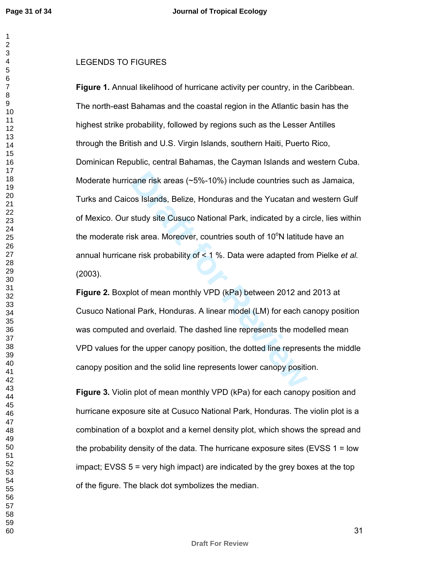$\mathbf{1}$ 

### $\overline{2}$

# LEGENDS TO FIGURES

cane risk areas (~5%-10%) include countries such<br>os Islands, Belize, Honduras and the Yucatan and<br>study site Cusuco National Park, indicated by a ci<br>sk area. Moreover, countries south of 10<sup>o</sup>N latitud<br>e risk probability **Figure 1.** Annual likelihood of hurricane activity per country, in the Caribbean. The north-east Bahamas and the coastal region in the Atlantic basin has the highest strike probability, followed by regions such as the Lesser Antilles through the British and U.S. Virgin Islands, southern Haiti, Puerto Rico, Dominican Republic, central Bahamas, the Cayman Islands and western Cuba. Moderate hurricane risk areas (~5%-10%) include countries such as Jamaica, Turks and Caicos Islands, Belize, Honduras and the Yucatan and western Gulf of Mexico. Our study site Cusuco National Park, indicated by a circle, lies within the moderate risk area. Moreover, countries south of 10°N latitude have an annual hurricane risk probability of < 1 %. Data were adapted from Pielke *et al.* (2003).

**Figure 2.** Boxplot of mean monthly VPD (kPa) between 2012 and 2013 at Cusuco National Park, Honduras. A linear model (LM) for each canopy position was computed and overlaid. The dashed line represents the modelled mean VPD values for the upper canopy position, the dotted line represents the middle canopy position and the solid line represents lower canopy position.

**Figure 3.** Violin plot of mean monthly VPD (kPa) for each canopy position and hurricane exposure site at Cusuco National Park, Honduras. The violin plot is a combination of a boxplot and a kernel density plot, which shows the spread and the probability density of the data. The hurricane exposure sites (EVSS  $1 =$  low impact; EVSS 5 = very high impact) are indicated by the grey boxes at the top of the figure. The black dot symbolizes the median.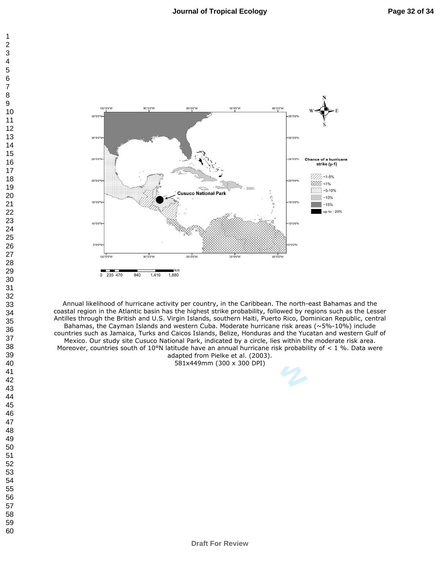

Annual likelihood of hurricane activity per country, in the Caribbean. The north-east Bahamas and the coastal region in the Atlantic basin has the highest strike probability, followed by regions such as the Lesser Antilles through the British and U.S. Virgin Islands, southern Haiti, Puerto Rico, Dominican Republic, central Bahamas, the Cayman Islands and western Cuba. Moderate hurricane risk areas (~5%-10%) include countries such as Jamaica, Turks and Caicos Islands, Belize, Honduras and the Yucatan and western Gulf of Mexico. Our study site Cusuco National Park, indicated by a circle, lies within the moderate risk area. Moreover, countries south of 10°N latitude have an annual hurricane risk probability of  $\lt 1$  %. Data were adapted from Pielke et al. (2003).

581x449mm (300 x 300 DPI)

 $\mathbf{1}$  $\overline{2}$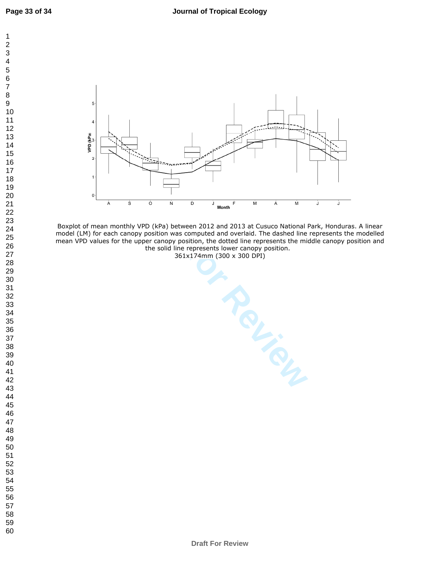$\mathbf{1}$  $\overline{2}$  $\overline{\mathbf{4}}$  $\overline{7}$ 



**Draft for Review of the COV**<br> **Draft for Allienty COV**<br> **Draft for Allient**  $\mu$  **COV**<br> **Draft for Allient** and overlaid. The dashed line represents the middle<br>
the solid line represents lower canopy position.<br> **Brackly** Boxplot of mean monthly VPD (kPa) between 2012 and 2013 at Cusuco National Park, Honduras. A linear model (LM) for each canopy position was computed and overlaid. The dashed line represents the modelled mean VPD values for the upper canopy position, the dotted line represents the middle canopy position and the solid line represents lower canopy position.

361x174mm (300 x 300 DPI)